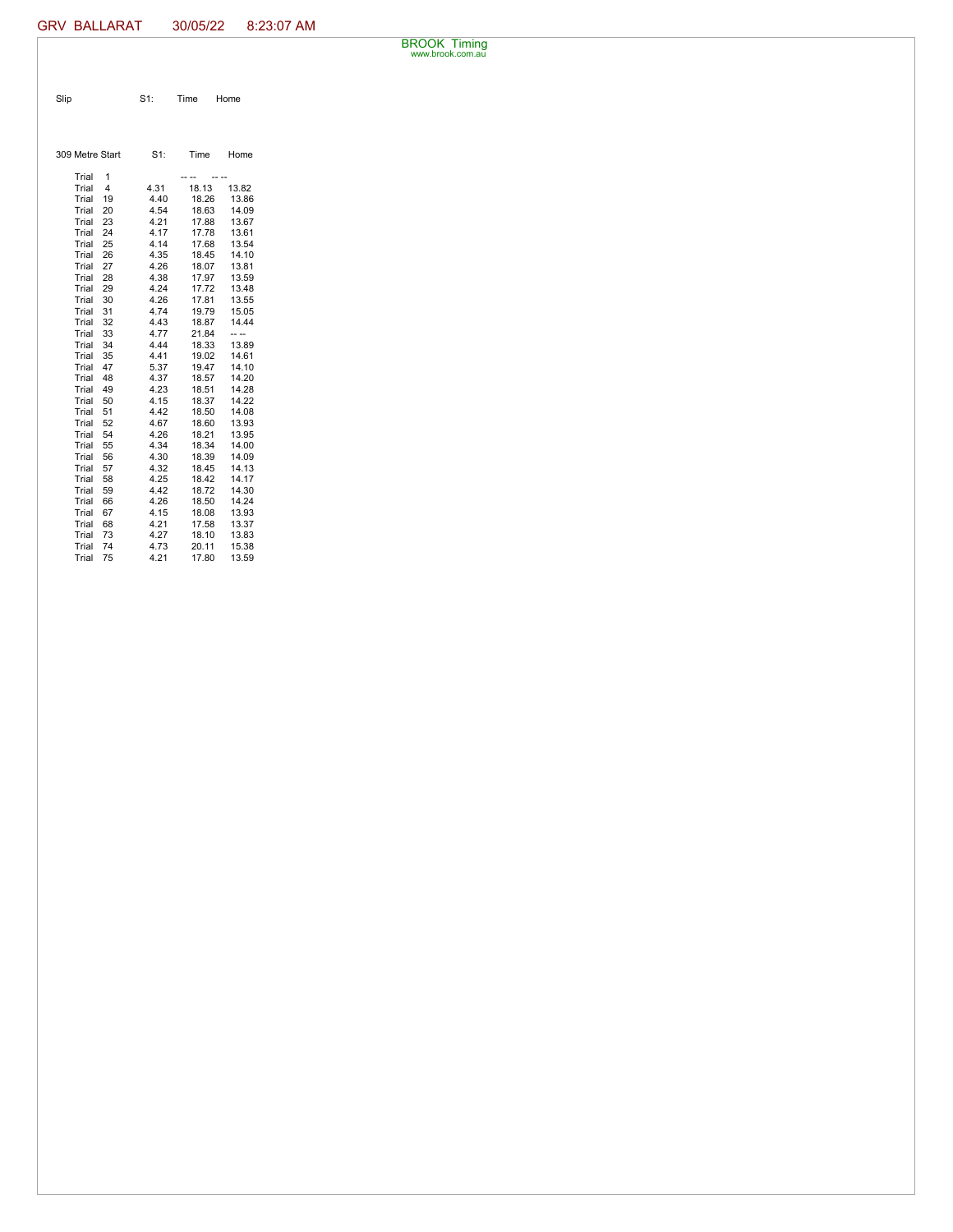BROOK Timing www.brook.com.au

Slip S1: Time Home

| 309 Metre Start |    | $S1$ : | Time  | Home  |
|-----------------|----|--------|-------|-------|
|                 |    |        |       |       |
| Trial           | 1  |        |       |       |
| Trial           | 4  | 4.31   | 18.13 | 13.82 |
| Trial           | 19 | 4.40   | 18.26 | 13.86 |
| Trial           | 20 | 4.54   | 18.63 | 14.09 |
| Trial           | 23 | 4.21   | 17.88 | 13.67 |
| Trial           | 24 | 4.17   | 17.78 | 13.61 |
| Trial           | 25 | 4.14   | 17.68 | 13.54 |
| Trial           | 26 | 4.35   | 18.45 | 14.10 |
| Trial           | 27 | 4.26   | 18.07 | 13.81 |
| Trial           | 28 | 4.38   | 17.97 | 13.59 |
| Trial           | 29 | 4.24   | 17.72 | 13.48 |
| Trial           | 30 | 4.26   | 17.81 | 13.55 |
| Trial           | 31 | 4.74   | 19.79 | 15.05 |
| Trial           | 32 | 4.43   | 18.87 | 14.44 |
| Trial           | 33 | 4.77   | 21.84 |       |
| Trial           | 34 | 4.44   | 18.33 | 13.89 |
| Trial           | 35 | 4.41   | 19.02 | 14.61 |
| Trial           | 47 | 5.37   | 19.47 | 14.10 |
| Trial           | 48 | 4.37   | 18.57 | 14.20 |
| Trial           | 49 | 4.23   | 18.51 | 14.28 |
| Trial           | 50 | 4.15   | 18.37 | 14.22 |
| Trial           | 51 | 4.42   | 18.50 | 14.08 |
| Trial           | 52 | 4.67   | 18.60 | 13.93 |
| Trial           | 54 | 4.26   | 18.21 | 13.95 |
| Trial           | 55 | 4.34   | 18.34 | 14.00 |
| Trial           | 56 | 4.30   | 18.39 | 14.09 |
| Trial           | 57 | 4.32   | 18.45 | 14.13 |
| Trial           | 58 | 4.25   | 18.42 | 14.17 |
| Trial           | 59 | 4.42   | 18.72 | 14.30 |
| Trial           | 66 | 4.26   | 18.50 | 14.24 |
| Trial           | 67 | 4.15   | 18.08 | 13.93 |
| Trial           | 68 | 4.21   | 17.58 | 13.37 |
| Trial           | 73 | 4.27   | 18.10 | 13.83 |
| Trial           | 74 | 4.73   | 20.11 | 15.38 |
| Trial           | 75 | 4.21   | 17.80 | 13.59 |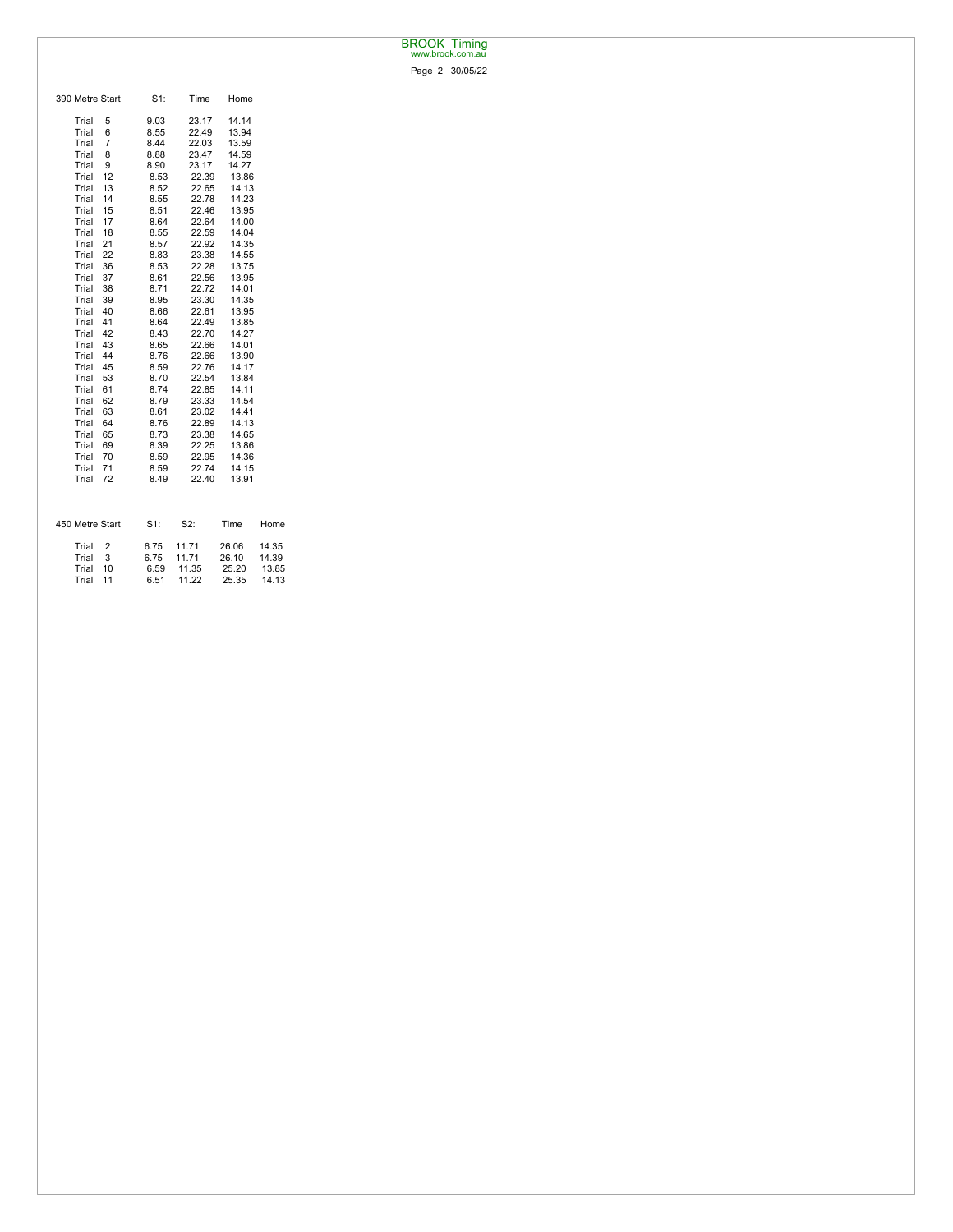## BROOK Timing www.brook.com.au

Page 2 30/05/22

| 390 Metre Start | S1:    | Time  | Home  |       |
|-----------------|--------|-------|-------|-------|
| Trial<br>5      | 9.03   | 23.17 | 14.14 |       |
| Trial<br>6      | 8.55   | 22.49 | 13.94 |       |
| Trial<br>7      | 8.44   | 22.03 | 13.59 |       |
| Trial<br>8      | 8.88   | 23.47 | 14.59 |       |
| Trial<br>9      | 8.90   | 23.17 | 14.27 |       |
| Trial<br>12     | 8.53   | 22.39 | 13.86 |       |
| 13<br>Trial     | 8.52   | 22.65 | 14.13 |       |
| Trial<br>14     | 8.55   | 22.78 | 14.23 |       |
| Trial<br>15     | 8.51   | 22.46 | 13.95 |       |
| 17<br>Trial     | 8.64   | 22.64 | 14.00 |       |
| Trial<br>18     | 8.55   | 22.59 | 14.04 |       |
| Trial<br>21     | 8.57   | 22.92 | 14.35 |       |
| Trial<br>22     | 8.83   | 23.38 | 14.55 |       |
| Trial<br>36     | 8.53   | 22.28 | 13.75 |       |
| Trial<br>37     | 8.61   | 22.56 | 13.95 |       |
| 38<br>Trial     | 8.71   | 22.72 | 14.01 |       |
| 39<br>Trial     | 8.95   | 23.30 | 14.35 |       |
| 40<br>Trial     | 8.66   | 22.61 | 13.95 |       |
| 41<br>Trial     | 8.64   | 22.49 | 13.85 |       |
| 42<br>Trial     | 8.43   | 22.70 | 14.27 |       |
| Trial<br>43     | 8.65   | 22.66 | 14.01 |       |
| 44<br>Trial     | 8.76   | 22.66 | 13.90 |       |
| Trial<br>45     | 8.59   | 22.76 | 14.17 |       |
| Trial<br>53     | 8.70   | 22.54 | 13.84 |       |
| Trial<br>61     | 8.74   | 22.85 | 14.11 |       |
| 62<br>Trial     | 8.79   | 23.33 | 14.54 |       |
| Trial<br>63     | 8.61   | 23.02 | 14.41 |       |
| 64<br>Trial     | 8.76   | 22.89 | 14.13 |       |
| 65<br>Trial     | 8.73   | 23.38 | 14.65 |       |
| Trial<br>69     | 8.39   | 22.25 | 13.86 |       |
| Trial<br>70     | 8.59   | 22.95 | 14.36 |       |
| Trial<br>71     | 8.59   | 22.74 | 14.15 |       |
| Trial<br>72     | 8.49   | 22.40 | 13.91 |       |
|                 |        |       |       |       |
| 450 Metre Start | $S1$ : | S2:   | Time  | Home  |
| Trial<br>2      | 6.75   | 11.71 | 26.06 | 14.35 |
| 3<br>Trial      | 6.75   | 11.71 | 26.10 | 14.39 |
| Trial<br>10     | 6.59   | 11.35 | 25.20 | 13.85 |
| 11<br>Trial     | 6.51   | 11.22 | 25.35 | 14.13 |